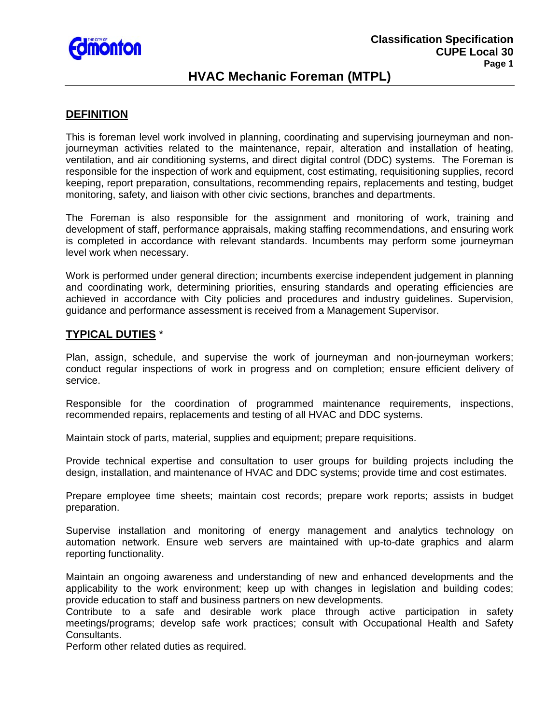

# **HVAC Mechanic Foreman (MTPL)**

## **DEFINITION**

This is foreman level work involved in planning, coordinating and supervising journeyman and nonjourneyman activities related to the maintenance, repair, alteration and installation of heating, ventilation, and air conditioning systems, and direct digital control (DDC) systems. The Foreman is responsible for the inspection of work and equipment, cost estimating, requisitioning supplies, record keeping, report preparation, consultations, recommending repairs, replacements and testing, budget monitoring, safety, and liaison with other civic sections, branches and departments.

The Foreman is also responsible for the assignment and monitoring of work, training and development of staff, performance appraisals, making staffing recommendations, and ensuring work is completed in accordance with relevant standards. Incumbents may perform some journeyman level work when necessary.

Work is performed under general direction; incumbents exercise independent judgement in planning and coordinating work, determining priorities, ensuring standards and operating efficiencies are achieved in accordance with City policies and procedures and industry guidelines. Supervision, guidance and performance assessment is received from a Management Supervisor.

## **TYPICAL DUTIES** \*

Plan, assign, schedule, and supervise the work of journeyman and non-journeyman workers; conduct regular inspections of work in progress and on completion; ensure efficient delivery of service.

Responsible for the coordination of programmed maintenance requirements, inspections, recommended repairs, replacements and testing of all HVAC and DDC systems.

Maintain stock of parts, material, supplies and equipment; prepare requisitions.

Provide technical expertise and consultation to user groups for building projects including the design, installation, and maintenance of HVAC and DDC systems; provide time and cost estimates.

Prepare employee time sheets; maintain cost records; prepare work reports; assists in budget preparation.

Supervise installation and monitoring of energy management and analytics technology on automation network. Ensure web servers are maintained with up-to-date graphics and alarm reporting functionality.

Maintain an ongoing awareness and understanding of new and enhanced developments and the applicability to the work environment; keep up with changes in legislation and building codes; provide education to staff and business partners on new developments.

Contribute to a safe and desirable work place through active participation in safety meetings/programs; develop safe work practices; consult with Occupational Health and Safety Consultants.

Perform other related duties as required.